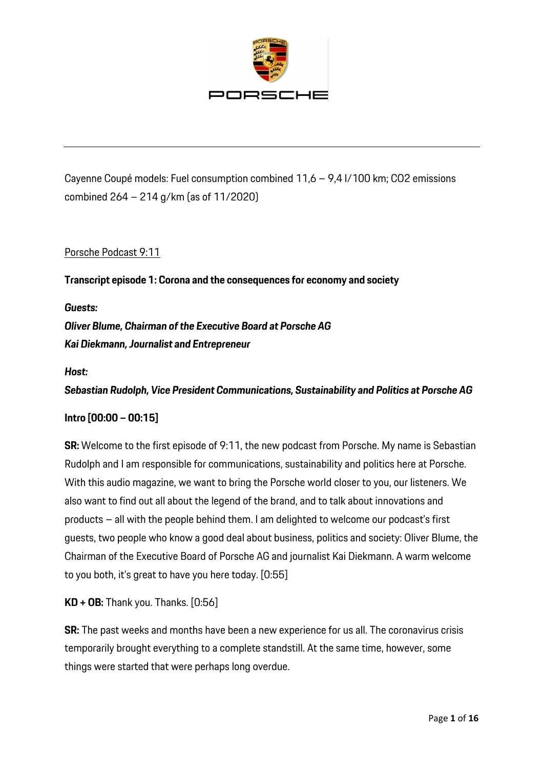

Cayenne Coupé models: Fuel consumption combined 11,6 – 9,4 l/100 km; CO2 emissions combined 264 – 214 g/km (as of 11/2020)

### Porsche Podcast 9:11

**Transcript episode 1: Corona and the consequences for economy and society**

*Guests: Oliver Blume, Chairman of the Executive Board at Porsche AG Kai Diekmann, Journalist and Entrepreneur*

*Host:* 

*Sebastian Rudolph, Vice President Communications, Sustainability and Politics at Porsche AG* 

### **Intro [00:00 – 00:15]**

**SR:** Welcome to the first episode of 9:11, the new podcast from Porsche. My name is Sebastian Rudolph and I am responsible for communications, sustainability and politics here at Porsche. With this audio magazine, we want to bring the Porsche world closer to you, our listeners. We also want to find out all about the legend of the brand, and to talk about innovations and products – all with the people behind them. I am delighted to welcome our podcast's first guests, two people who know a good deal about business, politics and society: Oliver Blume, the Chairman of the Executive Board of Porsche AG and journalist Kai Diekmann. A warm welcome to you both, it's great to have you here today. [0:55]

**KD + OB:** Thank you. Thanks. [0:56]

**SR:** The past weeks and months have been a new experience for us all. The coronavirus crisis temporarily brought everything to a complete standstill. At the same time, however, some things were started that were perhaps long overdue.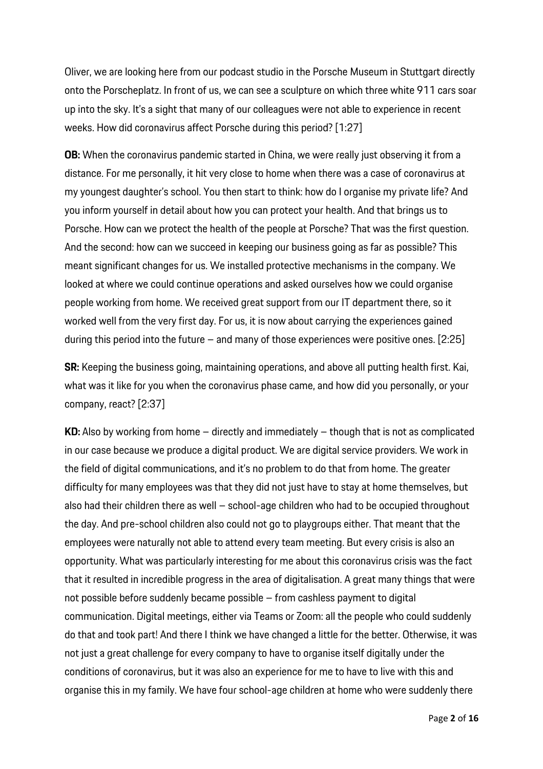Oliver, we are looking here from our podcast studio in the Porsche Museum in Stuttgart directly onto the Porscheplatz. In front of us, we can see a sculpture on which three white 911 cars soar up into the sky. It's a sight that many of our colleagues were not able to experience in recent weeks. How did coronavirus affect Porsche during this period? [1:27]

**OB:** When the coronavirus pandemic started in China, we were really just observing it from a distance. For me personally, it hit very close to home when there was a case of coronavirus at my youngest daughter's school. You then start to think: how do I organise my private life? And you inform yourself in detail about how you can protect your health. And that brings us to Porsche. How can we protect the health of the people at Porsche? That was the first question. And the second: how can we succeed in keeping our business going as far as possible? This meant significant changes for us. We installed protective mechanisms in the company. We looked at where we could continue operations and asked ourselves how we could organise people working from home. We received great support from our IT department there, so it worked well from the very first day. For us, it is now about carrying the experiences gained during this period into the future – and many of those experiences were positive ones. [2:25]

**SR:** Keeping the business going, maintaining operations, and above all putting health first. Kai, what was it like for you when the coronavirus phase came, and how did you personally, or your company, react? [2:37]

**KD:** Also by working from home – directly and immediately – though that is not as complicated in our case because we produce a digital product. We are digital service providers. We work in the field of digital communications, and it's no problem to do that from home. The greater difficulty for many employees was that they did not just have to stay at home themselves, but also had their children there as well – school-age children who had to be occupied throughout the day. And pre-school children also could not go to playgroups either. That meant that the employees were naturally not able to attend every team meeting. But every crisis is also an opportunity. What was particularly interesting for me about this coronavirus crisis was the fact that it resulted in incredible progress in the area of digitalisation. A great many things that were not possible before suddenly became possible – from cashless payment to digital communication. Digital meetings, either via Teams or Zoom: all the people who could suddenly do that and took part! And there I think we have changed a little for the better. Otherwise, it was not just a great challenge for every company to have to organise itself digitally under the conditions of coronavirus, but it was also an experience for me to have to live with this and organise this in my family. We have four school-age children at home who were suddenly there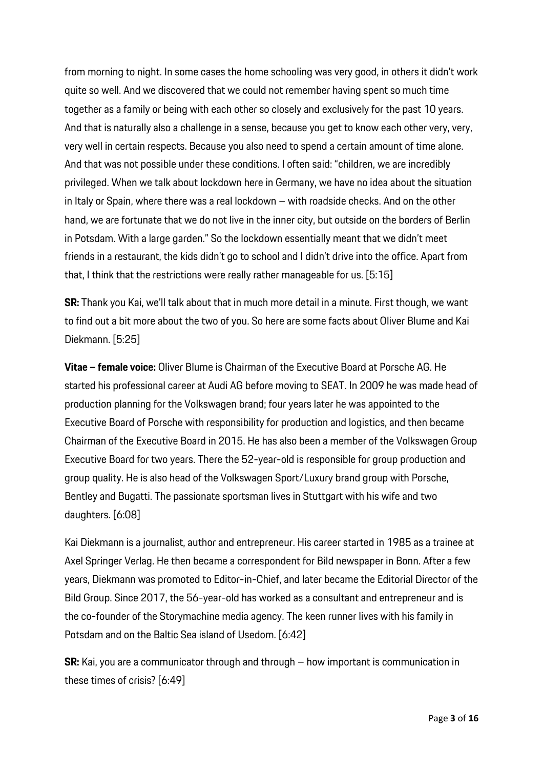from morning to night. In some cases the home schooling was very good, in others it didn't work quite so well. And we discovered that we could not remember having spent so much time together as a family or being with each other so closely and exclusively for the past 10 years. And that is naturally also a challenge in a sense, because you get to know each other very, very, very well in certain respects. Because you also need to spend a certain amount of time alone. And that was not possible under these conditions. I often said: "children, we are incredibly privileged. When we talk about lockdown here in Germany, we have no idea about the situation in Italy or Spain, where there was a real lockdown – with roadside checks. And on the other hand, we are fortunate that we do not live in the inner city, but outside on the borders of Berlin in Potsdam. With a large garden." So the lockdown essentially meant that we didn't meet friends in a restaurant, the kids didn't go to school and I didn't drive into the office. Apart from that, I think that the restrictions were really rather manageable for us. [5:15]

**SR:** Thank you Kai, we'll talk about that in much more detail in a minute. First though, we want to find out a bit more about the two of you. So here are some facts about Oliver Blume and Kai Diekmann. [5:25]

**Vitae – female voice:** Oliver Blume is Chairman of the Executive Board at Porsche AG. He started his professional career at Audi AG before moving to SEAT. In 2009 he was made head of production planning for the Volkswagen brand; four years later he was appointed to the Executive Board of Porsche with responsibility for production and logistics, and then became Chairman of the Executive Board in 2015. He has also been a member of the Volkswagen Group Executive Board for two years. There the 52-year-old is responsible for group production and group quality. He is also head of the Volkswagen Sport/Luxury brand group with Porsche, Bentley and Bugatti. The passionate sportsman lives in Stuttgart with his wife and two daughters. [6:08]

Kai Diekmann is a journalist, author and entrepreneur. His career started in 1985 as a trainee at Axel Springer Verlag. He then became a correspondent for Bild newspaper in Bonn. After a few years, Diekmann was promoted to Editor-in-Chief, and later became the Editorial Director of the Bild Group. Since 2017, the 56-year-old has worked as a consultant and entrepreneur and is the co-founder of the Storymachine media agency. The keen runner lives with his family in Potsdam and on the Baltic Sea island of Usedom. [6:42]

**SR:** Kai, you are a communicator through and through – how important is communication in these times of crisis? [6:49]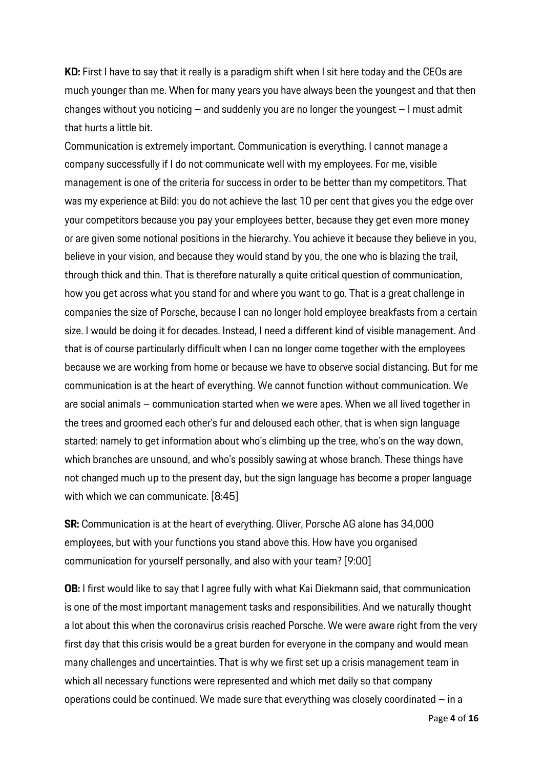**KD:** First I have to say that it really is a paradigm shift when I sit here today and the CEOs are much younger than me. When for many years you have always been the youngest and that then changes without you noticing – and suddenly you are no longer the youngest – I must admit that hurts a little bit.

Communication is extremely important. Communication is everything. I cannot manage a company successfully if I do not communicate well with my employees. For me, visible management is one of the criteria for success in order to be better than my competitors. That was my experience at Bild: you do not achieve the last 10 per cent that gives you the edge over your competitors because you pay your employees better, because they get even more money or are given some notional positions in the hierarchy. You achieve it because they believe in you, believe in your vision, and because they would stand by you, the one who is blazing the trail, through thick and thin. That is therefore naturally a quite critical question of communication, how you get across what you stand for and where you want to go. That is a great challenge in companies the size of Porsche, because I can no longer hold employee breakfasts from a certain size. I would be doing it for decades. Instead, I need a different kind of visible management. And that is of course particularly difficult when I can no longer come together with the employees because we are working from home or because we have to observe social distancing. But for me communication is at the heart of everything. We cannot function without communication. We are social animals – communication started when we were apes. When we all lived together in the trees and groomed each other's fur and deloused each other, that is when sign language started: namely to get information about who's climbing up the tree, who's on the way down, which branches are unsound, and who's possibly sawing at whose branch. These things have not changed much up to the present day, but the sign language has become a proper language with which we can communicate. [8:45]

**SR:** Communication is at the heart of everything. Oliver, Porsche AG alone has 34,000 employees, but with your functions you stand above this. How have you organised communication for yourself personally, and also with your team? [9:00]

**OB:** I first would like to say that I agree fully with what Kai Diekmann said, that communication is one of the most important management tasks and responsibilities. And we naturally thought a lot about this when the coronavirus crisis reached Porsche. We were aware right from the very first day that this crisis would be a great burden for everyone in the company and would mean many challenges and uncertainties. That is why we first set up a crisis management team in which all necessary functions were represented and which met daily so that company operations could be continued. We made sure that everything was closely coordinated  $-$  in a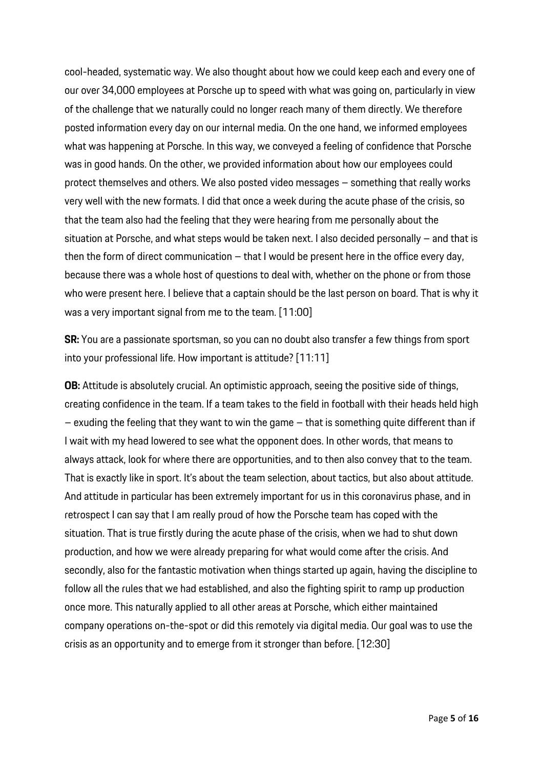cool-headed, systematic way. We also thought about how we could keep each and every one of our over 34,000 employees at Porsche up to speed with what was going on, particularly in view of the challenge that we naturally could no longer reach many of them directly. We therefore posted information every day on our internal media. On the one hand, we informed employees what was happening at Porsche. In this way, we conveyed a feeling of confidence that Porsche was in good hands. On the other, we provided information about how our employees could protect themselves and others. We also posted video messages – something that really works very well with the new formats. I did that once a week during the acute phase of the crisis, so that the team also had the feeling that they were hearing from me personally about the situation at Porsche, and what steps would be taken next. I also decided personally – and that is then the form of direct communication – that I would be present here in the office every day, because there was a whole host of questions to deal with, whether on the phone or from those who were present here. I believe that a captain should be the last person on board. That is why it was a very important signal from me to the team. [11:00]

**SR:** You are a passionate sportsman, so you can no doubt also transfer a few things from sport into your professional life. How important is attitude? [11:11]

**OB:** Attitude is absolutely crucial. An optimistic approach, seeing the positive side of things, creating confidence in the team. If a team takes to the field in football with their heads held high  $-$  exuding the feeling that they want to win the game  $-$  that is something quite different than if I wait with my head lowered to see what the opponent does. In other words, that means to always attack, look for where there are opportunities, and to then also convey that to the team. That is exactly like in sport. It's about the team selection, about tactics, but also about attitude. And attitude in particular has been extremely important for us in this coronavirus phase, and in retrospect I can say that I am really proud of how the Porsche team has coped with the situation. That is true firstly during the acute phase of the crisis, when we had to shut down production, and how we were already preparing for what would come after the crisis. And secondly, also for the fantastic motivation when things started up again, having the discipline to follow all the rules that we had established, and also the fighting spirit to ramp up production once more. This naturally applied to all other areas at Porsche, which either maintained company operations on-the-spot or did this remotely via digital media. Our goal was to use the crisis as an opportunity and to emerge from it stronger than before. [12:30]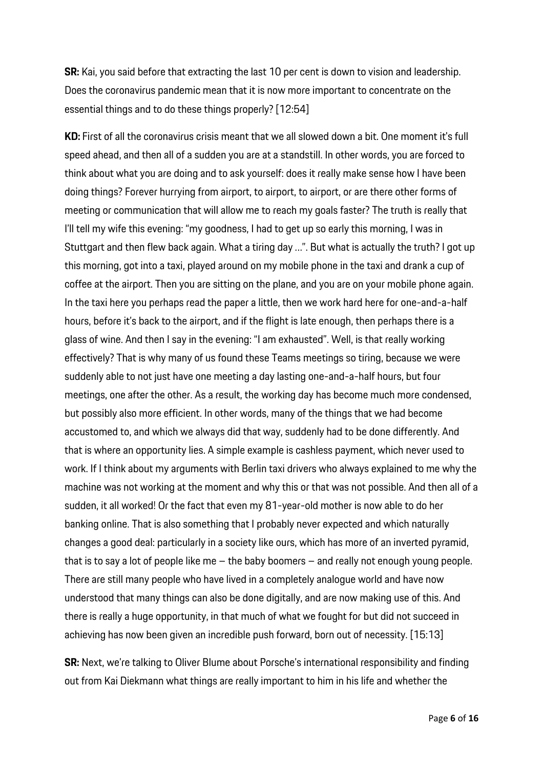**SR:** Kai, you said before that extracting the last 10 per cent is down to vision and leadership. Does the coronavirus pandemic mean that it is now more important to concentrate on the essential things and to do these things properly? [12:54]

**KD:** First of all the coronavirus crisis meant that we all slowed down a bit. One moment it's full speed ahead, and then all of a sudden you are at a standstill. In other words, you are forced to think about what you are doing and to ask yourself: does it really make sense how I have been doing things? Forever hurrying from airport, to airport, to airport, or are there other forms of meeting or communication that will allow me to reach my goals faster? The truth is really that I'll tell my wife this evening: "my goodness, I had to get up so early this morning, I was in Stuttgart and then flew back again. What a tiring day …". But what is actually the truth? I got up this morning, got into a taxi, played around on my mobile phone in the taxi and drank a cup of coffee at the airport. Then you are sitting on the plane, and you are on your mobile phone again. In the taxi here you perhaps read the paper a little, then we work hard here for one-and-a-half hours, before it's back to the airport, and if the flight is late enough, then perhaps there is a glass of wine. And then I say in the evening: "I am exhausted". Well, is that really working effectively? That is why many of us found these Teams meetings so tiring, because we were suddenly able to not just have one meeting a day lasting one-and-a-half hours, but four meetings, one after the other. As a result, the working day has become much more condensed, but possibly also more efficient. In other words, many of the things that we had become accustomed to, and which we always did that way, suddenly had to be done differently. And that is where an opportunity lies. A simple example is cashless payment, which never used to work. If I think about my arguments with Berlin taxi drivers who always explained to me why the machine was not working at the moment and why this or that was not possible. And then all of a sudden, it all worked! Or the fact that even my 81-year-old mother is now able to do her banking online. That is also something that I probably never expected and which naturally changes a good deal: particularly in a society like ours, which has more of an inverted pyramid, that is to say a lot of people like me – the baby boomers – and really not enough young people. There are still many people who have lived in a completely analogue world and have now understood that many things can also be done digitally, and are now making use of this. And there is really a huge opportunity, in that much of what we fought for but did not succeed in achieving has now been given an incredible push forward, born out of necessity. [15:13]

**SR:** Next, we're talking to Oliver Blume about Porsche's international responsibility and finding out from Kai Diekmann what things are really important to him in his life and whether the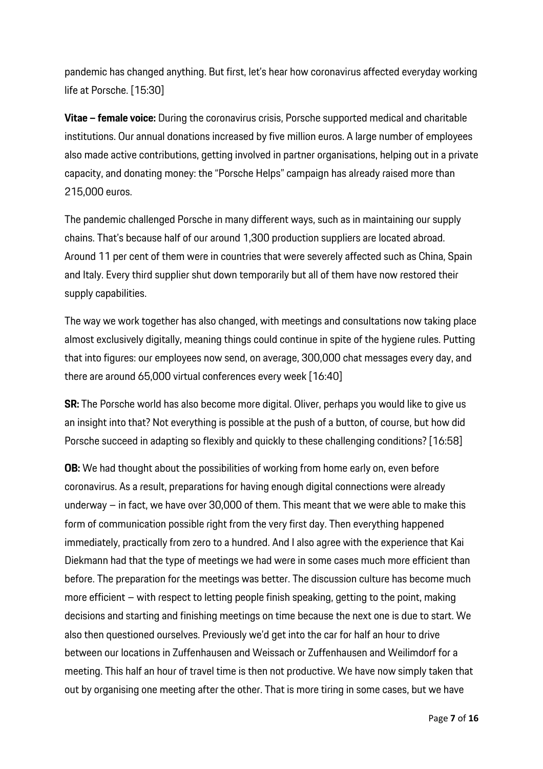pandemic has changed anything. But first, let's hear how coronavirus affected everyday working life at Porsche. [15:30]

**Vitae – female voice:** During the coronavirus crisis, Porsche supported medical and charitable institutions. Our annual donations increased by five million euros. A large number of employees also made active contributions, getting involved in partner organisations, helping out in a private capacity, and donating money: the "Porsche Helps" campaign has already raised more than 215,000 euros.

The pandemic challenged Porsche in many different ways, such as in maintaining our supply chains. That's because half of our around 1,300 production suppliers are located abroad. Around 11 per cent of them were in countries that were severely affected such as China, Spain and Italy. Every third supplier shut down temporarily but all of them have now restored their supply capabilities.

The way we work together has also changed, with meetings and consultations now taking place almost exclusively digitally, meaning things could continue in spite of the hygiene rules. Putting that into figures: our employees now send, on average, 300,000 chat messages every day, and there are around 65,000 virtual conferences every week [16:40]

**SR:** The Porsche world has also become more digital. Oliver, perhaps you would like to give us an insight into that? Not everything is possible at the push of a button, of course, but how did Porsche succeed in adapting so flexibly and quickly to these challenging conditions? [16:58]

**OB:** We had thought about the possibilities of working from home early on, even before coronavirus. As a result, preparations for having enough digital connections were already underway – in fact, we have over 30,000 of them. This meant that we were able to make this form of communication possible right from the very first day. Then everything happened immediately, practically from zero to a hundred. And I also agree with the experience that Kai Diekmann had that the type of meetings we had were in some cases much more efficient than before. The preparation for the meetings was better. The discussion culture has become much more efficient – with respect to letting people finish speaking, getting to the point, making decisions and starting and finishing meetings on time because the next one is due to start. We also then questioned ourselves. Previously we'd get into the car for half an hour to drive between our locations in Zuffenhausen and Weissach or Zuffenhausen and Weilimdorf for a meeting. This half an hour of travel time is then not productive. We have now simply taken that out by organising one meeting after the other. That is more tiring in some cases, but we have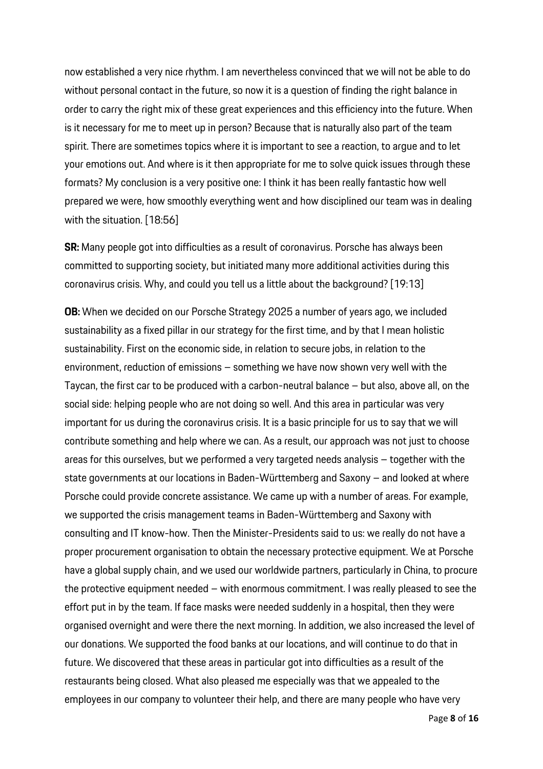now established a very nice rhythm. I am nevertheless convinced that we will not be able to do without personal contact in the future, so now it is a question of finding the right balance in order to carry the right mix of these great experiences and this efficiency into the future. When is it necessary for me to meet up in person? Because that is naturally also part of the team spirit. There are sometimes topics where it is important to see a reaction, to argue and to let your emotions out. And where is it then appropriate for me to solve quick issues through these formats? My conclusion is a very positive one: I think it has been really fantastic how well prepared we were, how smoothly everything went and how disciplined our team was in dealing with the situation. [18:56]

**SR:** Many people got into difficulties as a result of coronavirus. Porsche has always been committed to supporting society, but initiated many more additional activities during this coronavirus crisis. Why, and could you tell us a little about the background? [19:13]

**OB:** When we decided on our Porsche Strategy 2025 a number of years ago, we included sustainability as a fixed pillar in our strategy for the first time, and by that I mean holistic sustainability. First on the economic side, in relation to secure jobs, in relation to the environment, reduction of emissions – something we have now shown very well with the Taycan, the first car to be produced with a carbon-neutral balance – but also, above all, on the social side: helping people who are not doing so well. And this area in particular was very important for us during the coronavirus crisis. It is a basic principle for us to say that we will contribute something and help where we can. As a result, our approach was not just to choose areas for this ourselves, but we performed a very targeted needs analysis – together with the state governments at our locations in Baden-Württemberg and Saxony – and looked at where Porsche could provide concrete assistance. We came up with a number of areas. For example, we supported the crisis management teams in Baden-Württemberg and Saxony with consulting and IT know-how. Then the Minister-Presidents said to us: we really do not have a proper procurement organisation to obtain the necessary protective equipment. We at Porsche have a global supply chain, and we used our worldwide partners, particularly in China, to procure the protective equipment needed – with enormous commitment. I was really pleased to see the effort put in by the team. If face masks were needed suddenly in a hospital, then they were organised overnight and were there the next morning. In addition, we also increased the level of our donations. We supported the food banks at our locations, and will continue to do that in future. We discovered that these areas in particular got into difficulties as a result of the restaurants being closed. What also pleased me especially was that we appealed to the employees in our company to volunteer their help, and there are many people who have very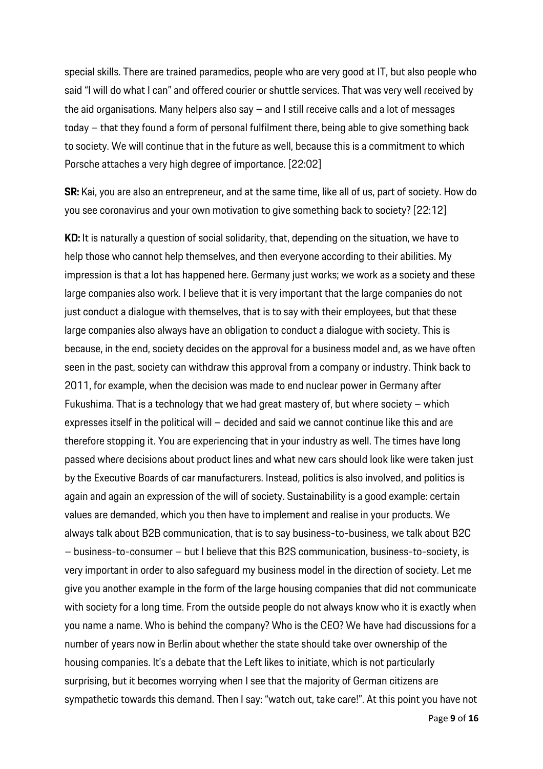special skills. There are trained paramedics, people who are very good at IT, but also people who said "I will do what I can" and offered courier or shuttle services. That was very well received by the aid organisations. Many helpers also say – and I still receive calls and a lot of messages today – that they found a form of personal fulfilment there, being able to give something back to society. We will continue that in the future as well, because this is a commitment to which Porsche attaches a very high degree of importance. [22:02]

**SR:** Kai, you are also an entrepreneur, and at the same time, like all of us, part of society. How do you see coronavirus and your own motivation to give something back to society? [22:12]

**KD:** It is naturally a question of social solidarity, that, depending on the situation, we have to help those who cannot help themselves, and then everyone according to their abilities. My impression is that a lot has happened here. Germany just works; we work as a society and these large companies also work. I believe that it is very important that the large companies do not just conduct a dialogue with themselves, that is to say with their employees, but that these large companies also always have an obligation to conduct a dialogue with society. This is because, in the end, society decides on the approval for a business model and, as we have often seen in the past, society can withdraw this approval from a company or industry. Think back to 2011, for example, when the decision was made to end nuclear power in Germany after Fukushima. That is a technology that we had great mastery of, but where society – which expresses itself in the political will – decided and said we cannot continue like this and are therefore stopping it. You are experiencing that in your industry as well. The times have long passed where decisions about product lines and what new cars should look like were taken just by the Executive Boards of car manufacturers. Instead, politics is also involved, and politics is again and again an expression of the will of society. Sustainability is a good example: certain values are demanded, which you then have to implement and realise in your products. We always talk about B2B communication, that is to say business-to-business, we talk about B2C – business-to-consumer – but I believe that this B2S communication, business-to-society, is very important in order to also safeguard my business model in the direction of society. Let me give you another example in the form of the large housing companies that did not communicate with society for a long time. From the outside people do not always know who it is exactly when you name a name. Who is behind the company? Who is the CEO? We have had discussions for a number of years now in Berlin about whether the state should take over ownership of the housing companies. It's a debate that the Left likes to initiate, which is not particularly surprising, but it becomes worrying when I see that the majority of German citizens are sympathetic towards this demand. Then I say: "watch out, take care!". At this point you have not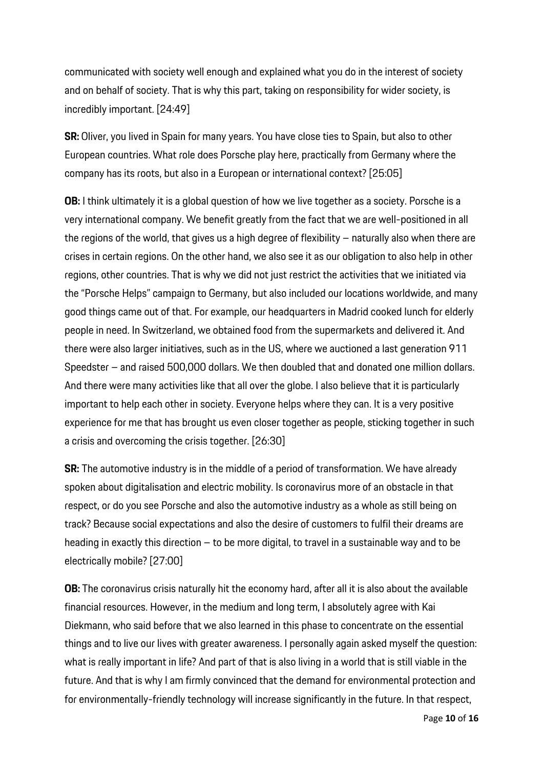communicated with society well enough and explained what you do in the interest of society and on behalf of society. That is why this part, taking on responsibility for wider society, is incredibly important. [24:49]

**SR:** Oliver, you lived in Spain for many years. You have close ties to Spain, but also to other European countries. What role does Porsche play here, practically from Germany where the company has its roots, but also in a European or international context? [25:05]

**OB:** I think ultimately it is a global question of how we live together as a society. Porsche is a very international company. We benefit greatly from the fact that we are well-positioned in all the regions of the world, that gives us a high degree of flexibility – naturally also when there are crises in certain regions. On the other hand, we also see it as our obligation to also help in other regions, other countries. That is why we did not just restrict the activities that we initiated via the "Porsche Helps" campaign to Germany, but also included our locations worldwide, and many good things came out of that. For example, our headquarters in Madrid cooked lunch for elderly people in need. In Switzerland, we obtained food from the supermarkets and delivered it. And there were also larger initiatives, such as in the US, where we auctioned a last generation 911 Speedster – and raised 500,000 dollars. We then doubled that and donated one million dollars. And there were many activities like that all over the globe. I also believe that it is particularly important to help each other in society. Everyone helps where they can. It is a very positive experience for me that has brought us even closer together as people, sticking together in such a crisis and overcoming the crisis together. [26:30]

**SR:** The automotive industry is in the middle of a period of transformation. We have already spoken about digitalisation and electric mobility. Is coronavirus more of an obstacle in that respect, or do you see Porsche and also the automotive industry as a whole as still being on track? Because social expectations and also the desire of customers to fulfil their dreams are heading in exactly this direction – to be more digital, to travel in a sustainable way and to be electrically mobile? [27:00]

**OB:** The coronavirus crisis naturally hit the economy hard, after all it is also about the available financial resources. However, in the medium and long term, I absolutely agree with Kai Diekmann, who said before that we also learned in this phase to concentrate on the essential things and to live our lives with greater awareness. I personally again asked myself the question: what is really important in life? And part of that is also living in a world that is still viable in the future. And that is why I am firmly convinced that the demand for environmental protection and for environmentally-friendly technology will increase significantly in the future. In that respect,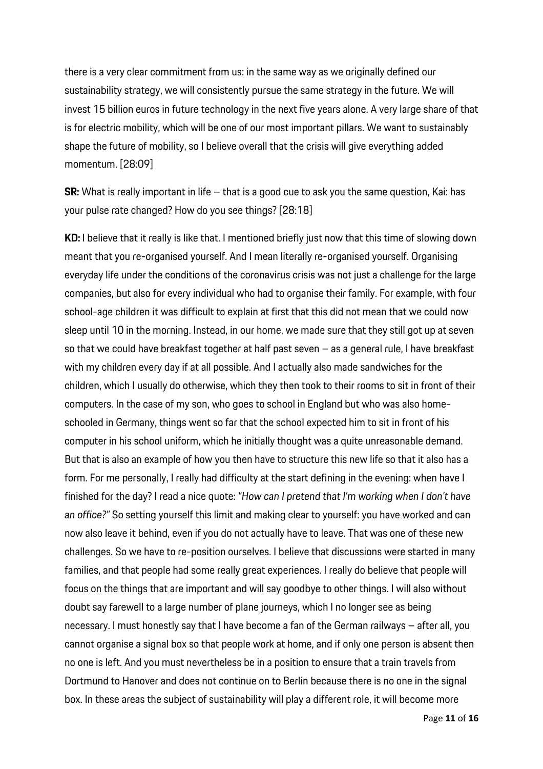there is a very clear commitment from us: in the same way as we originally defined our sustainability strategy, we will consistently pursue the same strategy in the future. We will invest 15 billion euros in future technology in the next five years alone. A very large share of that is for electric mobility, which will be one of our most important pillars. We want to sustainably shape the future of mobility, so I believe overall that the crisis will give everything added momentum. [28:09]

**SR:** What is really important in life – that is a good cue to ask you the same question, Kai: has your pulse rate changed? How do you see things? [28:18]

**KD:** I believe that it really is like that. I mentioned briefly just now that this time of slowing down meant that you re-organised yourself. And I mean literally re-organised yourself. Organising everyday life under the conditions of the coronavirus crisis was not just a challenge for the large companies, but also for every individual who had to organise their family. For example, with four school-age children it was difficult to explain at first that this did not mean that we could now sleep until 10 in the morning. Instead, in our home, we made sure that they still got up at seven so that we could have breakfast together at half past seven – as a general rule, I have breakfast with my children every day if at all possible. And I actually also made sandwiches for the children, which I usually do otherwise, which they then took to their rooms to sit in front of their computers. In the case of my son, who goes to school in England but who was also homeschooled in Germany, things went so far that the school expected him to sit in front of his computer in his school uniform, which he initially thought was a quite unreasonable demand. But that is also an example of how you then have to structure this new life so that it also has a form. For me personally, I really had difficulty at the start defining in the evening: when have I finished for the day? I read a nice quote: *"How can I pretend that I'm working when I don't have an office?"* So setting yourself this limit and making clear to yourself: you have worked and can now also leave it behind, even if you do not actually have to leave. That was one of these new challenges. So we have to re-position ourselves. I believe that discussions were started in many families, and that people had some really great experiences. I really do believe that people will focus on the things that are important and will say goodbye to other things. I will also without doubt say farewell to a large number of plane journeys, which I no longer see as being necessary. I must honestly say that I have become a fan of the German railways – after all, you cannot organise a signal box so that people work at home, and if only one person is absent then no one is left. And you must nevertheless be in a position to ensure that a train travels from Dortmund to Hanover and does not continue on to Berlin because there is no one in the signal box. In these areas the subject of sustainability will play a different role, it will become more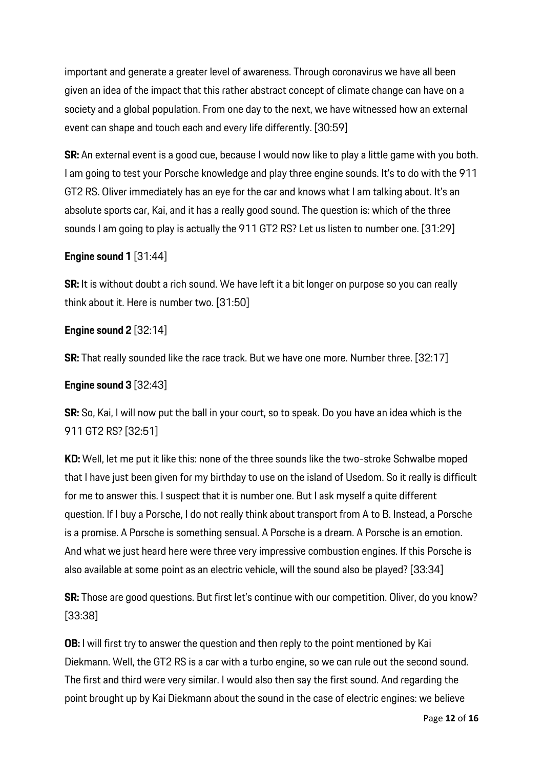important and generate a greater level of awareness. Through coronavirus we have all been given an idea of the impact that this rather abstract concept of climate change can have on a society and a global population. From one day to the next, we have witnessed how an external event can shape and touch each and every life differently. [30:59]

**SR:** An external event is a good cue, because I would now like to play a little game with you both. I am going to test your Porsche knowledge and play three engine sounds. It's to do with the 911 GT2 RS. Oliver immediately has an eye for the car and knows what I am talking about. It's an absolute sports car, Kai, and it has a really good sound. The question is: which of the three sounds I am going to play is actually the 911 GT2 RS? Let us listen to number one. [31:29]

# **Engine sound 1** [31:44]

**SR:** It is without doubt a rich sound. We have left it a bit longer on purpose so you can really think about it. Here is number two. [31:50]

# **Engine sound 2** [32:14]

**SR:** That really sounded like the race track. But we have one more. Number three. [32:17]

## **Engine sound 3** [32:43]

**SR:** So, Kai, I will now put the ball in your court, so to speak. Do you have an idea which is the 911 GT2 RS? [32:51]

**KD:** Well, let me put it like this: none of the three sounds like the two-stroke Schwalbe moped that I have just been given for my birthday to use on the island of Usedom. So it really is difficult for me to answer this. I suspect that it is number one. But I ask myself a quite different question. If I buy a Porsche, I do not really think about transport from A to B. Instead, a Porsche is a promise. A Porsche is something sensual. A Porsche is a dream. A Porsche is an emotion. And what we just heard here were three very impressive combustion engines. If this Porsche is also available at some point as an electric vehicle, will the sound also be played? [33:34]

**SR:** Those are good questions. But first let's continue with our competition. Oliver, do you know? [33:38]

**OB:** I will first try to answer the question and then reply to the point mentioned by Kai Diekmann. Well, the GT2 RS is a car with a turbo engine, so we can rule out the second sound. The first and third were very similar. I would also then say the first sound. And regarding the point brought up by Kai Diekmann about the sound in the case of electric engines: we believe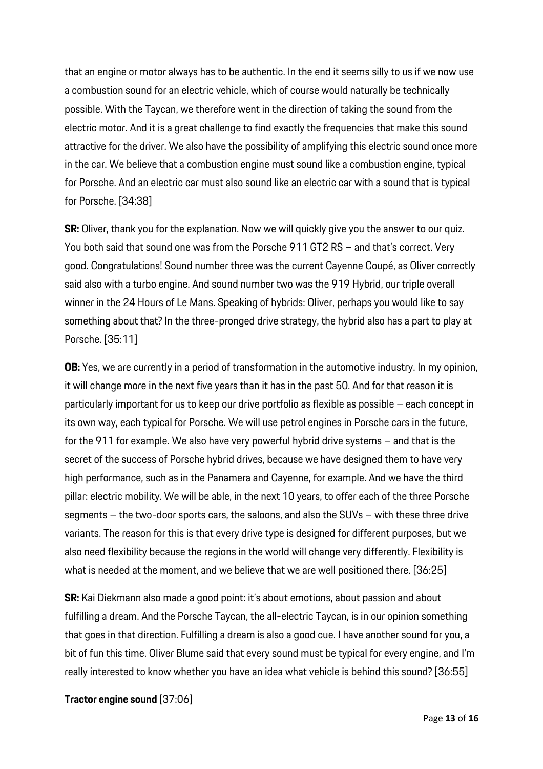that an engine or motor always has to be authentic. In the end it seems silly to us if we now use a combustion sound for an electric vehicle, which of course would naturally be technically possible. With the Taycan, we therefore went in the direction of taking the sound from the electric motor. And it is a great challenge to find exactly the frequencies that make this sound attractive for the driver. We also have the possibility of amplifying this electric sound once more in the car. We believe that a combustion engine must sound like a combustion engine, typical for Porsche. And an electric car must also sound like an electric car with a sound that is typical for Porsche. [34:38]

**SR:** Oliver, thank you for the explanation. Now we will quickly give you the answer to our quiz. You both said that sound one was from the Porsche 911 GT2 RS – and that's correct. Very good. Congratulations! Sound number three was the current Cayenne Coupé, as Oliver correctly said also with a turbo engine. And sound number two was the 919 Hybrid, our triple overall winner in the 24 Hours of Le Mans. Speaking of hybrids: Oliver, perhaps you would like to say something about that? In the three-pronged drive strategy, the hybrid also has a part to play at Porsche. [35:11]

**OB:** Yes, we are currently in a period of transformation in the automotive industry. In my opinion, it will change more in the next five years than it has in the past 50. And for that reason it is particularly important for us to keep our drive portfolio as flexible as possible – each concept in its own way, each typical for Porsche. We will use petrol engines in Porsche cars in the future, for the 911 for example. We also have very powerful hybrid drive systems – and that is the secret of the success of Porsche hybrid drives, because we have designed them to have very high performance, such as in the Panamera and Cayenne, for example. And we have the third pillar: electric mobility. We will be able, in the next 10 years, to offer each of the three Porsche segments – the two-door sports cars, the saloons, and also the SUVs – with these three drive variants. The reason for this is that every drive type is designed for different purposes, but we also need flexibility because the regions in the world will change very differently. Flexibility is what is needed at the moment, and we believe that we are well positioned there. [36:25]

**SR:** Kai Diekmann also made a good point: it's about emotions, about passion and about fulfilling a dream. And the Porsche Taycan, the all-electric Taycan, is in our opinion something that goes in that direction. Fulfilling a dream is also a good cue. I have another sound for you, a bit of fun this time. Oliver Blume said that every sound must be typical for every engine, and I'm really interested to know whether you have an idea what vehicle is behind this sound? [36:55]

**Tractor engine sound** [37:06]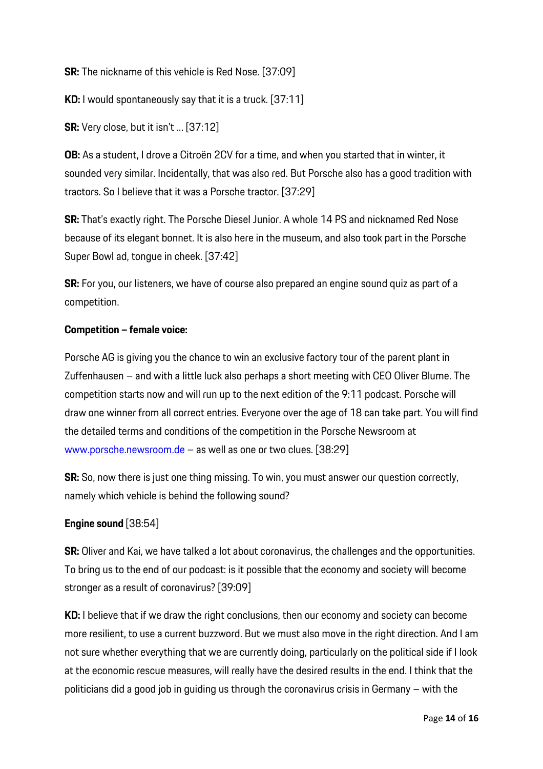**SR:** The nickname of this vehicle is Red Nose. [37:09]

**KD:** I would spontaneously say that it is a truck. [37:11]

**SR:** Very close, but it isn't … [37:12]

**OB:** As a student, I drove a Citroën 2CV for a time, and when you started that in winter, it sounded very similar. Incidentally, that was also red. But Porsche also has a good tradition with tractors. So I believe that it was a Porsche tractor. [37:29]

**SR:** That's exactly right. The Porsche Diesel Junior. A whole 14 PS and nicknamed Red Nose because of its elegant bonnet. It is also here in the museum, and also took part in the Porsche Super Bowl ad, tongue in cheek. [37:42]

**SR:** For you, our listeners, we have of course also prepared an engine sound quiz as part of a competition.

### **Competition – female voice:**

Porsche AG is giving you the chance to win an exclusive factory tour of the parent plant in Zuffenhausen – and with a little luck also perhaps a short meeting with CEO Oliver Blume. The competition starts now and will run up to the next edition of the 9:11 podcast. Porsche will draw one winner from all correct entries. Everyone over the age of 18 can take part. You will find the detailed terms and conditions of the competition in the Porsche Newsroom at www.porsche.newsroom.de – as well as one or two clues. [38:29]

**SR:** So, now there is just one thing missing. To win, you must answer our question correctly, namely which vehicle is behind the following sound?

## **Engine sound** [38:54]

**SR:** Oliver and Kai, we have talked a lot about coronavirus, the challenges and the opportunities. To bring us to the end of our podcast: is it possible that the economy and society will become stronger as a result of coronavirus? [39:09]

**KD:** I believe that if we draw the right conclusions, then our economy and society can become more resilient, to use a current buzzword. But we must also move in the right direction. And I am not sure whether everything that we are currently doing, particularly on the political side if I look at the economic rescue measures, will really have the desired results in the end. I think that the politicians did a good job in guiding us through the coronavirus crisis in Germany – with the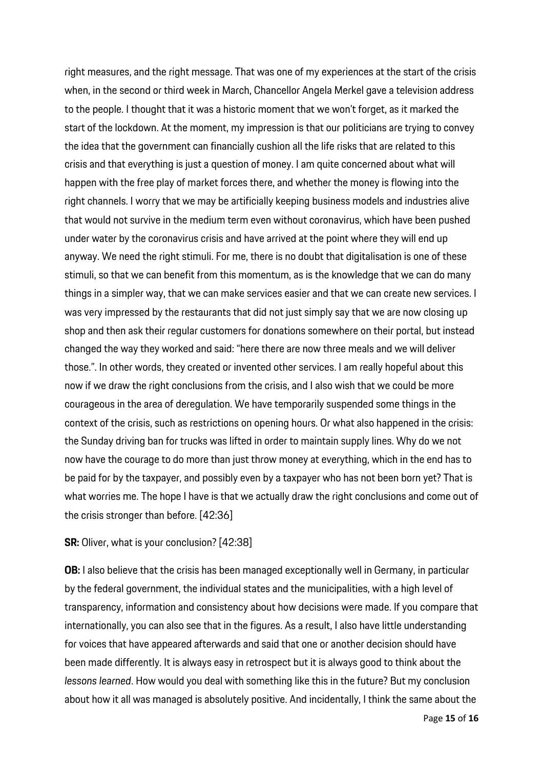right measures, and the right message. That was one of my experiences at the start of the crisis when, in the second or third week in March, Chancellor Angela Merkel gave a television address to the people. I thought that it was a historic moment that we won't forget, as it marked the start of the lockdown. At the moment, my impression is that our politicians are trying to convey the idea that the government can financially cushion all the life risks that are related to this crisis and that everything is just a question of money. I am quite concerned about what will happen with the free play of market forces there, and whether the money is flowing into the right channels. I worry that we may be artificially keeping business models and industries alive that would not survive in the medium term even without coronavirus, which have been pushed under water by the coronavirus crisis and have arrived at the point where they will end up anyway. We need the right stimuli. For me, there is no doubt that digitalisation is one of these stimuli, so that we can benefit from this momentum, as is the knowledge that we can do many things in a simpler way, that we can make services easier and that we can create new services. I was very impressed by the restaurants that did not just simply say that we are now closing up shop and then ask their regular customers for donations somewhere on their portal, but instead changed the way they worked and said: "here there are now three meals and we will deliver those.". In other words, they created or invented other services. I am really hopeful about this now if we draw the right conclusions from the crisis, and I also wish that we could be more courageous in the area of deregulation. We have temporarily suspended some things in the context of the crisis, such as restrictions on opening hours. Or what also happened in the crisis: the Sunday driving ban for trucks was lifted in order to maintain supply lines. Why do we not now have the courage to do more than just throw money at everything, which in the end has to be paid for by the taxpayer, and possibly even by a taxpayer who has not been born yet? That is what worries me. The hope I have is that we actually draw the right conclusions and come out of the crisis stronger than before. [42:36]

#### **SR:** Oliver, what is your conclusion? [42:38]

**OB:** I also believe that the crisis has been managed exceptionally well in Germany, in particular by the federal government, the individual states and the municipalities, with a high level of transparency, information and consistency about how decisions were made. If you compare that internationally, you can also see that in the figures. As a result, I also have little understanding for voices that have appeared afterwards and said that one or another decision should have been made differently. It is always easy in retrospect but it is always good to think about the *lessons learned*. How would you deal with something like this in the future? But my conclusion about how it all was managed is absolutely positive. And incidentally, I think the same about the